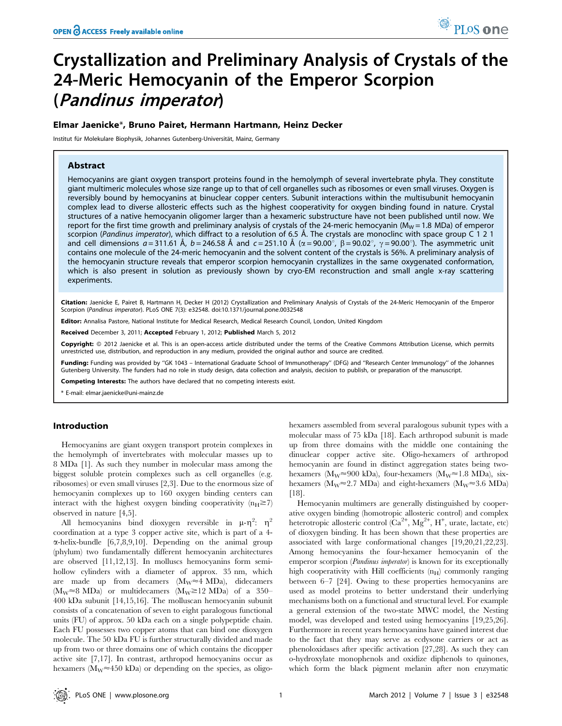# Crystallization and Preliminary Analysis of Crystals of the 24-Meric Hemocyanin of the Emperor Scorpion (Pandinus imperator)

## Elmar Jaenicke\*, Bruno Pairet, Hermann Hartmann, Heinz Decker

Institut für Molekulare Biophysik, Johannes Gutenberg-Universität, Mainz, Germany

## Abstract

Hemocyanins are giant oxygen transport proteins found in the hemolymph of several invertebrate phyla. They constitute giant multimeric molecules whose size range up to that of cell organelles such as ribosomes or even small viruses. Oxygen is reversibly bound by hemocyanins at binuclear copper centers. Subunit interactions within the multisubunit hemocyanin complex lead to diverse allosteric effects such as the highest cooperativity for oxygen binding found in nature. Crystal structures of a native hemocyanin oligomer larger than a hexameric substructure have not been published until now. We report for the first time growth and preliminary analysis of crystals of the 24-meric hemocyanin ( $M_W$  = 1.8 MDa) of emperor scorpion (Pandinus imperator), which diffract to a resolution of 6.5 Å. The crystals are monoclinc with space group C 1 2 1 and cell dimensions  $a = 311.61$  Å,  $b = 246.58$  Å and  $c = 251.10$  Å ( $\alpha = 90.00^{\circ}$ ,  $\beta = 90.02^{\circ}$ ,  $\gamma = 90.00^{\circ}$ ). The asymmetric unit contains one molecule of the 24-meric hemocyanin and the solvent content of the crystals is 56%. A preliminary analysis of the hemocyanin structure reveals that emperor scorpion hemocyanin crystallizes in the same oxygenated conformation, which is also present in solution as previously shown by cryo-EM reconstruction and small angle x-ray scattering experiments.

Citation: Jaenicke E, Pairet B, Hartmann H, Decker H (2012) Crystallization and Preliminary Analysis of Crystals of the 24-Meric Hemocyanin of the Emperor Scorpion (Pandinus imperator). PLoS ONE 7(3): e32548. doi:10.1371/journal.pone.0032548

Editor: Annalisa Pastore, National Institute for Medical Research, Medical Research Council, London, United Kingdom

Received December 3, 2011; Accepted February 1, 2012; Published March 5, 2012

Copyright: © 2012 Jaenicke et al. This is an open-access article distributed under the terms of the Creative Commons Attribution License, which permits unrestricted use, distribution, and reproduction in any medium, provided the original author and source are credited.

Funding: Funding was provided by "GK 1043 – International Graduate School of Immunotherapy" (DFG) and "Research Center Immunology" of the Johannes Gutenberg University. The funders had no role in study design, data collection and analysis, decision to publish, or preparation of the manuscript.

Competing Interests: The authors have declared that no competing interests exist.

\* E-mail: elmar.jaenicke@uni-mainz.de

## Introduction

Hemocyanins are giant oxygen transport protein complexes in the hemolymph of invertebrates with molecular masses up to 8 MDa [1]. As such they number in molecular mass among the biggest soluble protein complexes such as cell organelles (e.g. ribosomes) or even small viruses [2,3]. Due to the enormous size of hemocyanin complexes up to 160 oxygen binding centers can interact with the highest oxygen binding cooperativity  $(n_H \ge 7)$ observed in nature [4,5].

All hemocyanins bind dioxygen reversible in  $\mu$ - $\eta^2$ :  $\eta^2$ coordination at a type 3 copper active site, which is part of a 4-  $\alpha$ -helix-bundle [6,7,8,9,10]. Depending on the animal group (phylum) two fundamentally different hemocyanin architectures are observed [11,12,13]. In molluscs hemocyanins form semihollow cylinders with a diameter of approx. 35 nm, which are made up from decamers  $(M_W \approx 4 \text{ MDa})$ , didecamers  $(M_W \approx 8 \text{ MDa})$  or multidecamers  $(M_W \approx 12 \text{ MDa})$  of a 350– 400 kDa subunit [14,15,16]. The molluscan hemocyanin subunit consists of a concatenation of seven to eight paralogous functional units (FU) of approx. 50 kDa each on a single polypeptide chain. Each FU possesses two copper atoms that can bind one dioxygen molecule. The 50 kDa FU is further structurally divided and made up from two or three domains one of which contains the dicopper active site [7,17]. In contrast, arthropod hemocyanins occur as hexamers ( $M_W \approx 450$  kDa) or depending on the species, as oligohexamers assembled from several paralogous subunit types with a molecular mass of 75 kDa [18]. Each arthropod subunit is made up from three domains with the middle one containing the dinuclear copper active site. Oligo-hexamers of arthropod hemocyanin are found in distinct aggregation states being twohexamers ( $M_W \approx 900$  kDa), four-hexamers ( $M_W \approx 1.8$  MDa), sixhexamers ( $M_W \approx 2.7 \text{ MDa}$ ) and eight-hexamers ( $M_W \approx 3.6 \text{ MDa}$ ) [18].

Hemocyanin multimers are generally distinguished by cooperative oxygen binding (homotropic allosteric control) and complex heterotropic allosteric control  $(Ca^{2+}, Mg^{2+}, H^+,$  urate, lactate, etc) of dioxygen binding. It has been shown that these properties are associated with large conformational changes [19,20,21,22,23]. Among hemocyanins the four-hexamer hemocyanin of the emperor scorpion (Pandinus imperator) is known for its exceptionally high cooperativity with Hill coefficients  $(n_H)$  commonly ranging between 6–7 [24]. Owing to these properties hemocyanins are used as model proteins to better understand their underlying mechanisms both on a functional and structural level. For example a general extension of the two-state MWC model, the Nesting model, was developed and tested using hemocyanins [19,25,26]. Furthermore in recent years hemocyanins have gained interest due to the fact that they may serve as ecdysone carriers or act as phenoloxidases after specific activation [27,28]. As such they can o-hydroxylate monophenols and oxidize diphenols to quinones, which form the black pigment melanin after non enzymatic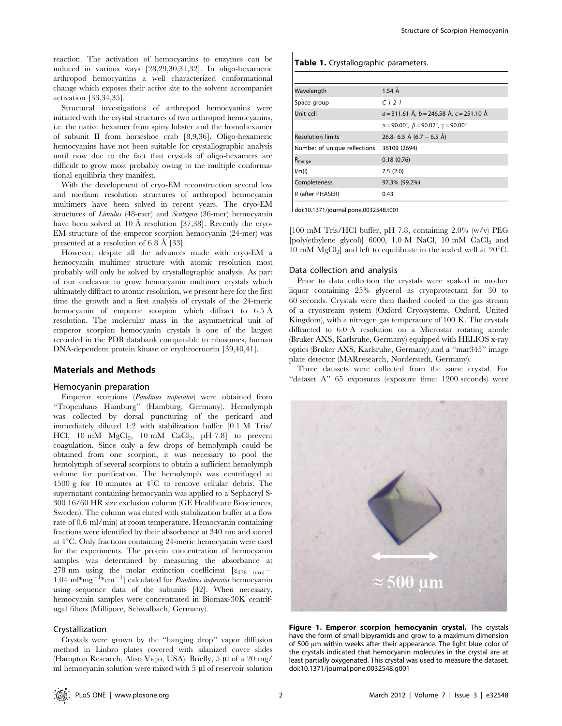reaction. The activation of hemocyanins to enzymes can be induced in various ways [28,29,30,31,32]. In oligo-hexameric arthropod hemocyanins a well characterized conformational change which exposes their active site to the solvent accompanies activation [33,34,35].

Structural investigations of arthropod hemocyanins were initiated with the crystal structures of two arthropod hemocyanins, i.e. the native hexamer from spiny lobster and the homohexamer of subunit II from horseshoe crab [8,9,36]. Oligo-hexameric hemocyanins have not been suitable for crystallographic analysis until now due to the fact that crystals of oligo-hexamers are difficult to grow most probably owing to the multiple conformational equilibria they manifest.

With the development of cryo-EM reconstruction several low and medium resolution structures of arthropod hemocyanin multimers have been solved in recent years. The cryo-EM structures of Limulus (48-mer) and Scutigera (36-mer) hemocyanin have been solved at 10 Å resolution [37,38]. Recently the cryo-EM structure of the emperor scorpion hemocyanin (24-mer) was presented at a resolution of  $6.8 \text{ Å}$  [33].

However, despite all the advances made with cryo-EM a hemocyanin multimer structure with atomic resolution most probably will only be solved by crystallographic analysis. As part of our endeavor to grow hemocyanin multimer crystals which ultimately diffract to atomic resolution, we present here for the first time the growth and a first analysis of crystals of the 24-meric hemocyanin of emperor scorpion which diffract to  $6.5 \text{ Å}$ resolution. The molecular mass in the asymmetrical unit of emperor scorpion hemocyanin crystals is one of the largest recorded in the PDB databank comparable to ribosomes, human DNA-dependent protein kinase or erythrocruorin [39,40,41].

## Materials and Methods

## Hemocyanin preparation

Emperor scorpions (Pandinus imperator) were obtained from ''Tropenhaus Hamburg'' (Hamburg, Germany). Hemolymph was collected by dorsal puncturing of the pericard and immediately diluted 1:2 with stabilization buffer [0.1 M Tris/ HCl,  $10 \text{ mM } MgCl<sub>2</sub>$ ,  $10 \text{ mM } CaCl<sub>2</sub>$ ,  $pH 7.8$ ] to prevent coagulation. Since only a few drops of hemolymph could be obtained from one scorpion, it was necessary to pool the hemolymph of several scorpions to obtain a sufficient hemolymph volume for purification. The hemolymph was centrifuged at 4500 g for 10 minutes at  $4^{\circ}$ C to remove cellular debris. The supernatant containing hemocyanin was applied to a Sephacryl S-300 16/60 HR size exclusion column (GE Healthcare Biosciences, Sweden). The column was eluted with stabilization buffer at a flow rate of 0.6 ml/min) at room temperature. Hemocyanin containing fractions were identified by their absorbance at 340 nm and stored at 4°C. Only fractions containing 24-meric hemocyanin were used for the experiments. The protein concentration of hemocyanin samples was determined by measuring the absorbance at 278 nm using the molar extinction coefficient  $[\epsilon_{278 \text{ (nm)}}]$ 1.04 ml\*mg<sup>-1\*</sup>cm<sup>-1</sup>] calculated for *Pandinus imperator* hemocyanin using sequence data of the subunits [42]. When necessary, hemocyanin samples were concentrated in Biomax-30K centrifugal filters (Millipore, Schwalbach, Germany).

## Crystallization

Crystals were grown by the ''hanging drop'' vapor diffusion method in Linbro plates covered with silanized cover slides (Hampton Research, Aliso Viejo, USA). Briefly, 5 µl of a 20 mg/ ml hemocyanin solution were mixed with  $5 \mu$ l of reservoir solution

#### Table 1. Crystallographic parameters.

| Wavelength                    | $1.54 \text{ Å}$                                                              |  |
|-------------------------------|-------------------------------------------------------------------------------|--|
| Space group                   | C121                                                                          |  |
| Unit cell                     | $a = 311.61$ Å, $b = 246.58$ Å, $c = 251.10$ Å                                |  |
|                               | $\alpha = 90.00^{\circ}$ , $\beta = 90.02^{\circ}$ , $\gamma = 90.00^{\circ}$ |  |
| <b>Resolution limits</b>      | 26.8- 6.5 Å (6.7 – 6.5 Å)                                                     |  |
| Number of unique reflections  | 36109 (2694)                                                                  |  |
| $\mathsf{R}_{\mathsf{merge}}$ | 0.18(0.76)                                                                    |  |
| $I/\sigma(I)$                 | 7.5(2.0)                                                                      |  |
| Completeness                  | 97.3% (99.2%)                                                                 |  |
| R (after PHASER)              | 0.43                                                                          |  |

doi:10.1371/journal.pone.0032548.t001

[100 mM Tris/HCl buffer, pH 7.8, containing 2.0% (w/v) PEG [poly(ethylene glycol)] 6000, 1.0 M NaCl, 10 mM  $CaCl<sub>2</sub>$  and 10 mM  $MgCl<sub>2</sub>$ ] and left to equilibrate in the sealed well at 20°C.

#### Data collection and analysis

Prior to data collection the crystals were soaked in mother liquor containing 25% glycerol as cryoprotectant for 30 to 60 seconds. Crystals were then flashed cooled in the gas stream of a cryostream system (Oxford Cryosystems, Oxford, United Kingdom), with a nitrogen gas temperature of 100 K. The crystals diffracted to  $6.0 \text{ Å}$  resolution on a Microstar rotating anode (Bruker AXS, Karlsruhe, Germany) equipped with HELIOS x-ray optics (Bruker AXS, Karlsruhe, Germany) and a ''mar345'' image plate detector (MARresearch, Norderstedt, Germany).

Three datasets were collected from the same crystal. For "dataset A" 65 exposures (exposure time: 1200 seconds) were



Figure 1. Emperor scorpion hemocyanin crystal. The crystals have the form of small bipyramids and grow to a maximum dimension of 500 µm within weeks after their appearance. The light blue color of the crystals indicated that hemocyanin molecules in the crystal are at least partially oxygenated. This crystal was used to measure the dataset. doi:10.1371/journal.pone.0032548.g001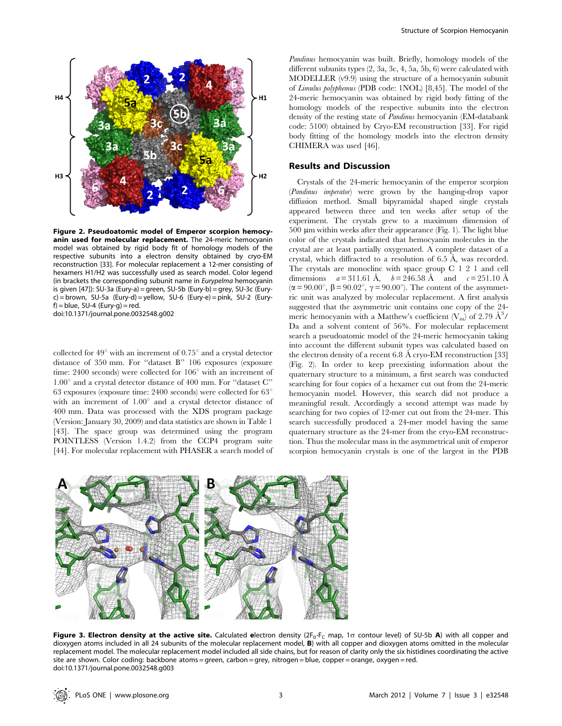

Figure 2. Pseudoatomic model of Emperor scorpion hemocyanin used for molecular replacement. The 24-meric hemocyanin model was obtained by rigid body fit of homology models of the respective subunits into a electron density obtained by cryo-EM reconstruction [33]. For molecular replacement a 12-mer consisting of hexamers H1/H2 was successfully used as search model. Color legend (in brackets the corresponding subunit name in Eurypelma hemocyanin is given [47]): SU-3a (Eury-a) = green, SU-5b (Eury-b) = grey, SU-3c (Euryc) = brown, SU-5a (Eury-d) = yellow, SU-6 (Eury-e) = pink, SU-2 (Eury $f$ ) = blue, SU-4 (Eury-g) = red. doi:10.1371/journal.pone.0032548.g002

collected for  $49^{\circ}$  with an increment of  $0.75^{\circ}$  and a crystal detector distance of 350 mm. For ''dataset B'' 106 exposures (exposure time:  $2400$  seconds) were collected for  $106^{\circ}$  with an increment of  $1.00^{\circ}$  and a crystal detector distance of 400 mm. For "dataset C" 63 exposures (exposure time: 2400 seconds) were collected for  $63^\circ$ with an increment of  $1.00^{\circ}$  and a crystal detector distance of 400 mm. Data was processed with the XDS program package (Version: January 30, 2009) and data statistics are shown in Table 1 [43]. The space group was determined using the program POINTLESS (Version 1.4.2) from the CCP4 program suite [44]. For molecular replacement with PHASER a search model of Pandinus hemocyanin was built. Briefly, homology models of the different subunits types (2, 3a, 3c, 4, 5a, 5b, 6) were calculated with MODELLER (v9.9) using the structure of a hemocyanin subunit of Limulus polyphemus (PDB code: 1NOL) [8,45]. The model of the 24-meric hemocyanin was obtained by rigid body fitting of the homology models of the respective subunits into the electron density of the resting state of Pandinus hemocyanin (EM-databank code: 5100) obtained by Cryo-EM reconstruction [33]. For rigid body fitting of the homology models into the electron density CHIMERA was used [46].

#### Results and Discussion

Crystals of the 24-meric hemocyanin of the emperor scorpion (Pandinus imperator) were grown by the hanging-drop vapor diffusion method. Small bipyramidal shaped single crystals appeared between three and ten weeks after setup of the experiment. The crystals grew to a maximum dimension of  $500 \mu m$  within weeks after their appearance (Fig. 1). The light blue color of the crystals indicated that hemocyanin molecules in the crystal are at least partially oxygenated. A complete dataset of a crystal, which diffracted to a resolution of  $6.5 \text{ Å}$ , was recorded. The crystals are monoclinc with space group C 1 2 1 and cell dimensions  $a = 311.61 \text{ Å}$ ,  $b = 246.58 \text{ Å}$  and  $c = 251.10 \text{ Å}$  $(\alpha = 90.00^{\circ}, \beta = 90.02^{\circ}, \gamma = 90.00^{\circ})$ . The content of the asymmetric unit was analyzed by molecular replacement. A first analysis suggested that the asymmetric unit contains one copy of the 24 meric hemocyanin with a Matthew's coefficient  $(V_m)$  of 2.79  $\AA^3/$ Da and a solvent content of 56%. For molecular replacement search a pseudoatomic model of the 24-meric hemocyanin taking into account the different subunit types was calculated based on the electron density of a recent  $6.8 \text{ Å}$  cryo-EM reconstruction [33] (Fig. 2). In order to keep preexisting information about the quaternary structure to a minimum, a first search was conducted searching for four copies of a hexamer cut out from the 24-meric hemocyanin model. However, this search did not produce a meaningful result. Accordingly a second attempt was made by searching for two copies of 12-mer cut out from the 24-mer. This search successfully produced a 24-mer model having the same quaternary structure as the 24-mer from the cryo-EM reconstruction. Thus the molecular mass in the asymmetrical unit of emperor scorpion hemocyanin crystals is one of the largest in the PDB



Figure 3. Electron density at the active site. Calculated electron density  $(2F_0-F_C \text{ map}, 1\sigma \text{ contour level})$  of SU-5b A) with all copper and dioxygen atoms included in all 24 subunits of the molecular replacement model, B) with all copper and dioxygen atoms omitted in the molecular replacement model. The molecular replacement model included all side chains, but for reason of clarity only the six histidines coordinating the active site are shown. Color coding: backbone atoms = green, carbon = grey, nitrogen = blue, copper = orange, oxygen = red. doi:10.1371/journal.pone.0032548.g003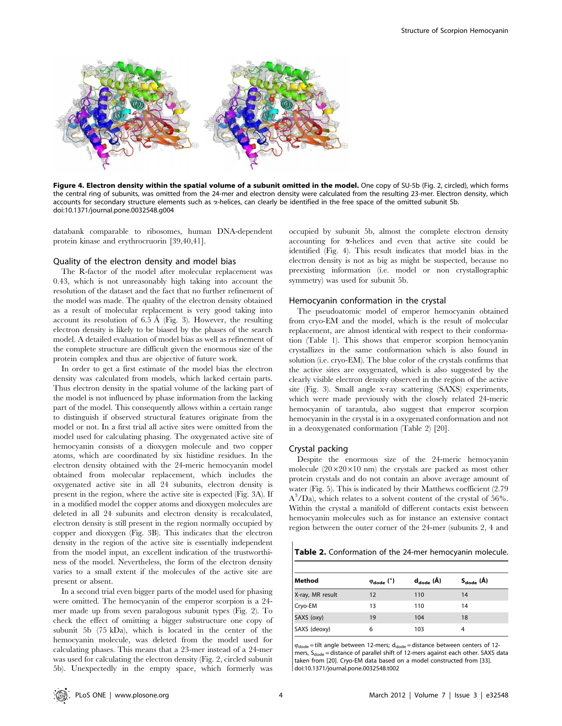

Figure 4. Electron density within the spatial volume of a subunit omitted in the model. One copy of SU-5b (Fig. 2, circled), which forms the central ring of subunits, was omitted from the 24-mer and electron density were calculated from the resulting 23-mer. Electron density, which accounts for secondary structure elements such as  $\alpha$ -helices, can clearly be identified in the free space of the omitted subunit 5b. doi:10.1371/journal.pone.0032548.g004

databank comparable to ribosomes, human DNA-dependent protein kinase and erythrocruorin [39,40,41].

#### Quality of the electron density and model bias

The R-factor of the model after molecular replacement was 0.43, which is not unreasonably high taking into account the resolution of the dataset and the fact that no further refinement of the model was made. The quality of the electron density obtained as a result of molecular replacement is very good taking into account its resolution of  $6.5 \text{ Å}$  (Fig. 3). However, the resulting electron density is likely to be biased by the phases of the search model. A detailed evaluation of model bias as well as refinement of the complete structure are difficult given the enormous size of the protein complex and thus are objective of future work.

In order to get a first estimate of the model bias the electron density was calculated from models, which lacked certain parts. Thus electron density in the spatial volume of the lacking part of the model is not influenced by phase information from the lacking part of the model. This consequently allows within a certain range to distinguish if observed structural features originate from the model or not. In a first trial all active sites were omitted from the model used for calculating phasing. The oxygenated active site of hemocyanin consists of a dioxygen molecule and two copper atoms, which are coordinated by six histidine residues. In the electron density obtained with the 24-meric hemocyanin model obtained from molecular replacement, which includes the oxygenated active site in all 24 subunits, electron density is present in the region, where the active site is expected (Fig. 3A). If in a modified model the copper atoms and dioxygen molecules are deleted in all 24 subunits and electron density is recalculated, electron density is still present in the region normally occupied by copper and dioxygen (Fig. 3B). This indicates that the electron density in the region of the active site is essentially independent from the model input, an excellent indication of the trustworthiness of the model. Nevertheless, the form of the electron density varies to a small extent if the molecules of the active site are present or absent.

In a second trial even bigger parts of the model used for phasing were omitted. The hemocyanin of the emperor scorpion is a 24 mer made up from seven paralogous subunit types (Fig. 2). To check the effect of omitting a bigger substructure one copy of subunit 5b (75 kDa), which is located in the center of the hemocyanin molecule, was deleted from the model used for calculating phases. This means that a 23-mer instead of a 24-mer was used for calculating the electron density (Fig. 2, circled subunit 5b). Unexpectedly in the empty space, which formerly was

occupied by subunit 5b, almost the complete electron density accounting for  $\alpha$ -helices and even that active site could be identified (Fig. 4). This result indicates that model bias in the electron density is not as big as might be suspected, because no preexisting information (i.e. model or non crystallographic symmetry) was used for subunit 5b.

#### Hemocyanin conformation in the crystal

The pseudoatomic model of emperor hemocyanin obtained from cryo-EM and the model, which is the result of molecular replacement, are almost identical with respect to their conformation (Table 1). This shows that emperor scorpion hemocyanin crystallizes in the same conformation which is also found in solution (i.e. cryo-EM). The blue color of the crystals confirms that the active sites are oxygenated, which is also suggested by the clearly visible electron density observed in the region of the active site (Fig. 3). Small angle x-ray scattering (SAXS) experiments, which were made previously with the closely related 24-meric hemocyanin of tarantula, also suggest that emperor scorpion hemocyanin in the crystal is in a oxygenated conformation and not in a deoxygenated conformation (Table 2) [20].

#### Crystal packing

Despite the enormous size of the 24-meric hemocyanin molecule  $(20\times20\times10$  nm) the crystals are packed as most other protein crystals and do not contain an above average amount of water (Fig. 5). This is indicated by their Matthews coefficient (2.79  $A^3/Da$ ), which relates to a solvent content of the crystal of 56%. Within the crystal a manifold of different contacts exist between hemocyanin molecules such as for instance an extensive contact region between the outer corner of the 24-mer (subunits 2, 4 and

Table 2. Conformation of the 24-mer hemocyanin molecule.

| Method                | $\varphi_{\text{dode}}$ $(°)$ | $d_{\text{dode}}(\hat{A})$ | $S_{\rm dode}(\hat{A})$ |
|-----------------------|-------------------------------|----------------------------|-------------------------|
| X-ray, MR result      | 12                            | 110                        | 14                      |
|                       | 13                            | 110                        | 14                      |
| Cryo-EM<br>SAXS (oxy) | 19                            | 104                        | 18                      |
| SAXS (deoxy)          | 6                             | 103                        |                         |

 $\varphi_\text{dode} = \text{tilt}$  angle between 12-mers;  $\mathsf{d}_\text{dode} = \text{distance}$  between centers of 12mers,  $S_{\text{dode}}$  = distance of parallel shift of 12-mers against each other. SAXS data taken from [20]. Cryo-EM data based on a model constructed from [33]. doi:10.1371/journal.pone.0032548.t002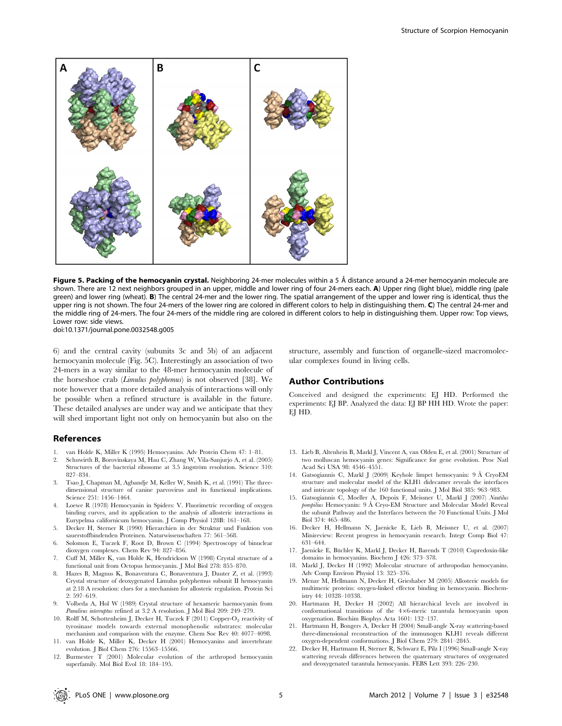

Figure 5. Packing of the hemocyanin crystal. Neighboring 24-mer molecules within a 5 Å distance around a 24-mer hemocyanin molecule are shown. There are 12 next neighbors grouped in an upper, middle and lower ring of four 24-mers each. A) Upper ring (light blue), middle ring (pale green) and lower ring (wheat). B) The central 24-mer and the lower ring. The spatial arrangement of the upper and lower ring is identical, thus the upper ring is not shown. The four 24-mers of the lower ring are colored in different colors to help in distinguishing them. C) The central 24-mer and the middle ring of 24-mers. The four 24-mers of the middle ring are colored in different colors to help in distinguishing them. Upper row: Top views, Lower row: side views.

doi:10.1371/journal.pone.0032548.g005

6) and the central cavity (subunits 3c and 5b) of an adjacent hemocyanin molecule (Fig. 5C). Interestingly an association of two 24-mers in a way similar to the 48-mer hemocyanin molecule of the horseshoe crab (Limulus polyphemus) is not observed [38]. We note however that a more detailed analysis of interactions will only be possible when a refined structure is available in the future. These detailed analyses are under way and we anticipate that they will shed important light not only on hemocyanin but also on the

#### References

- 1. van Holde K, Miller K (1995) Hemocyanins. Adv Protein Chem 47: 1–81.
- 2. Schuwirth B, Borovinskaya M, Hau C, Zhang W, Vila-Sanjurjo A, et al. (2005) Structures of the bacterial ribosome at 3.5 angström resolution. Science 310: 827–834.
- 3. Tsao J, Chapman M, Agbandje M, Keller W, Smith K, et al. (1991) The threedimensional structure of canine parvovirus and its functional implications. Science 251: 1456–1464.
- 4. Loewe R (1978) Hemocyanin in Spiders: V. Fluorimetric recording of oxygen binding curves, and its application to the analysis of allosteric interactions in Eurypelma californicum hemocyanin. J Comp Physiol 128B: 161–168.
- 5. Decker H, Sterner R (1990) Hierarchien in der Struktur und Funktion von sauerstoffbindenden Proteinen. Naturwissenschaften 77: 561–568.
- 6. Solomon E, Tuczek F, Root D, Brown C (1994) Spectroscopy of binuclear dioxygen complexes. Chem Rev 94: 827–856.
- 7. Cuff M, Miller K, van Holde K, Hendrickson W (1998) Crystal structure of a functional unit from Octopus hemocyanin. J Mol Biol 278: 855–870.
- 8. Hazes B, Magnus K, Bonaventura C, Bonaventura J, Dauter Z, et al. (1993) Crystal structure of deoxygenated Limulus polyphemus subunit II hemocyanin at 2.18 A resolution: clues for a mechanism for allosteric regulation. Protein Sci 2: 597–619.
- 9. Volbeda A, Hol W (1989) Crystal structure of hexameric haemocyanin from Panulirus interruptus refined at 3.2 A resolution. J Mol Biol 209: 249–279.
- 10. Rolff M, Schottenheim J, Decker H, Tuczek F (2011) Copper-O<sub>2</sub> reactivity of tyrosinase models towards external monophenolic substrates: molecular mechanism and comparison with the enzyme. Chem Soc Rev 40: 4077–4098.
- 11. van Holde K, Miller K, Decker H (2001) Hemocyanins and invertebrate evolution. J Biol Chem 276: 15563–15566.
- 12. Burmester T (2001) Molecular evolution of the arthropod hemocyanin superfamily. Mol Biol Evol 18: 184–195.

structure, assembly and function of organelle-sized macromolecular complexes found in living cells.

#### Author Contributions

Conceived and designed the experiments: EJ HD. Performed the experiments: EJ BP. Analyzed the data: EJ BP HH HD. Wrote the paper: EJ HD.

- 13. Lieb B, Altenhein B, Markl J, Vincent A, van Olden E, et al. (2001) Structure of two molluscan hemocyanin genes: Significance for gene evolution. Proc Natl Acad Sci USA 98: 4546–4551.
- 14. Gatsogiannis C, Markl J (2009) Keyhole limpet hemocyanin: 9 A˚ CryoEM structure and molecular model of the KLH1 didecamer reveals the interfaces and intricate topology of the 160 functional units. J Mol Biol 385: 963–983.
- 15. Gatsogiannis C, Moeller A, Depoix F, Meissner U, Markl J (2007) Nautilus pompilius Hemocyanin: 9 A˚ Cryo-EM Structure and Molecular Model Reveal the subunit Pathway and the Interfaces between the 70 Functional Units. J Mol Biol 374: 465–486.
- 16. Decker H, Hellmann N, Jaenicke E, Lieb B, Meissner U, et al. (2007) Minireview: Recent progress in hemocyanin research. Integr Comp Biol 47: 631–644.
- 17. Jaenicke E, Büchler K, Markl J, Decker H, Barends T (2010) Cupredoxin-like domains in hemocyanins. Biochem J 426: 373–378.
- 18. Markl J, Decker H (1992) Molecular structure of arthropodan hemocyanins. Adv Comp Environ Physiol 13: 325–376.
- 19. Menze M, Hellmann N, Decker H, Grieshaber M (2005) Allosteric models for multimeric proteins: oxygen-linked effector binding in hemocyanin. Biochemistry 44: 10328–10338.
- 20. Hartmann H, Decker H (2002) All hierarchical levels are involved in conformational transitions of the  $4\times6$ -meric tarantula hemocyanin upon oxygenation. Biochim Biophys Acta 1601: 132–137.
- 21. Hartmann H, Bongers A, Decker H (2004) Small-angle X-ray scattering-based three-dimensional reconstruction of the immunogen KLH1 reveals different oxygen-dependent conformations. J Biol Chem 279: 2841–2845.
- 22. Decker H, Hartmann H, Sterner R, Schwarz E, Pilz I (1996) Small-angle X-ray scattering reveals differences between the quaternary structures of oxygenated and deoxygenated tarantula hemocyanin. FEBS Lett 393: 226–230.